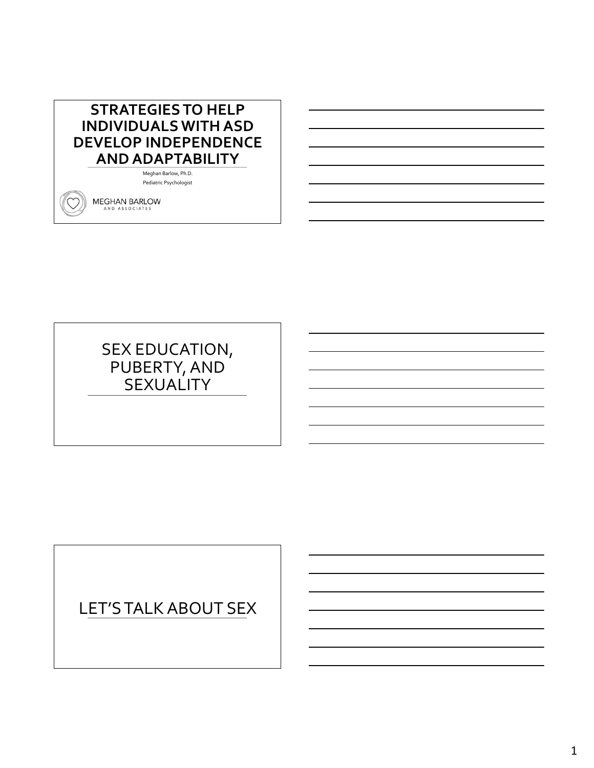# **STRATEGIES TO HELP INDIVIDUALS WITH ASD DEVELOP INDEPENDENCE AND ADAPTABILITY**

Meghan Barlow, Ph.D. Pediatric Psychologist

**MEGHAN BARLOW** AND ASSOCIATES

# SEX EDUCATION, PUBERTY, AND **SEXUALITY**

# LET'S TALK ABOUT SEX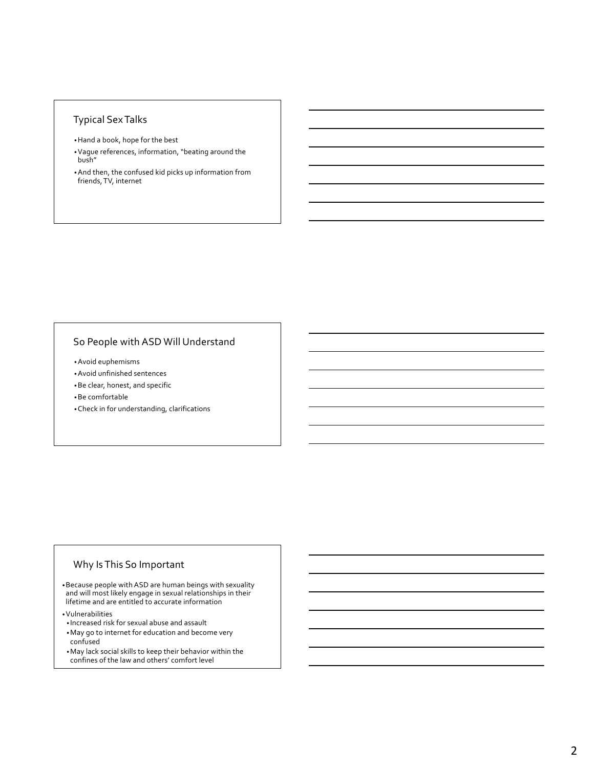#### Typical Sex Talks

- •Hand a book, hope for the best
- •Vague references, information, "beating around the bush"
- •And then, the confused kid picks up information from friends, TV, internet

### So People with ASD Will Understand

•Avoid euphemisms

- •Avoid unfinished sentences
- •Be clear, honest, and specific

•Be comfortable

•Check in for understanding, clarifications

#### Why Is This So Important

•Because people with ASD are human beings with sexuality and will most likely engage in sexual relationships in their lifetime and are entitled to accurate information

•Vulnerabilities • Increased risk for sexual abuse and assault

- •May go to internet for education and become very confused
- •May lack social skills to keep their behavior within the confines of the law and others' comfort level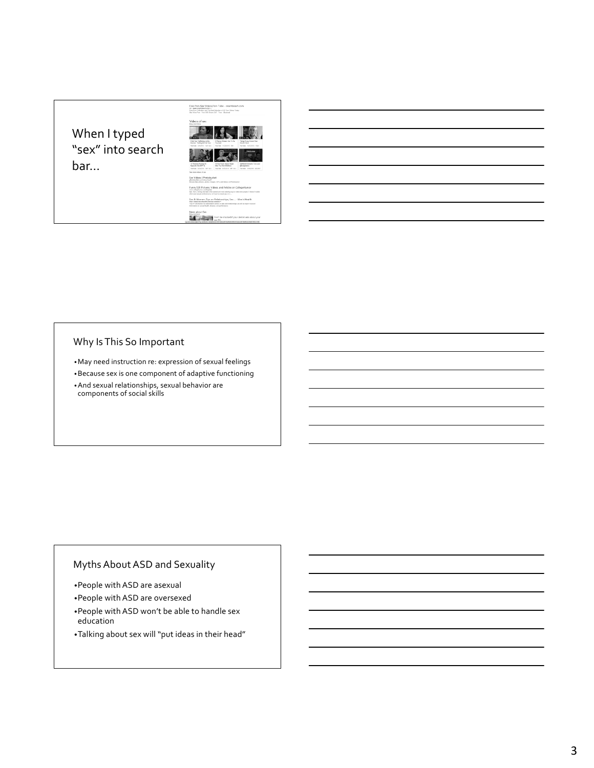# When I typed "sex" into search bar…



.<br>Nps, Sex .. - Me

Sex & W  $\sum$ 

### Why Is This So Important

•May need instruction re: expression of sexual feelings

•Because sex is one component of adaptive functioning

•And sexual relationships, sexual behavior are components of social skills

### Myths About ASD and Sexuality

- •People with ASD are asexual
- •People with ASD are oversexed
- •People with ASD won't be able to handle sex education
- •Talking about sex will "put ideas in their head"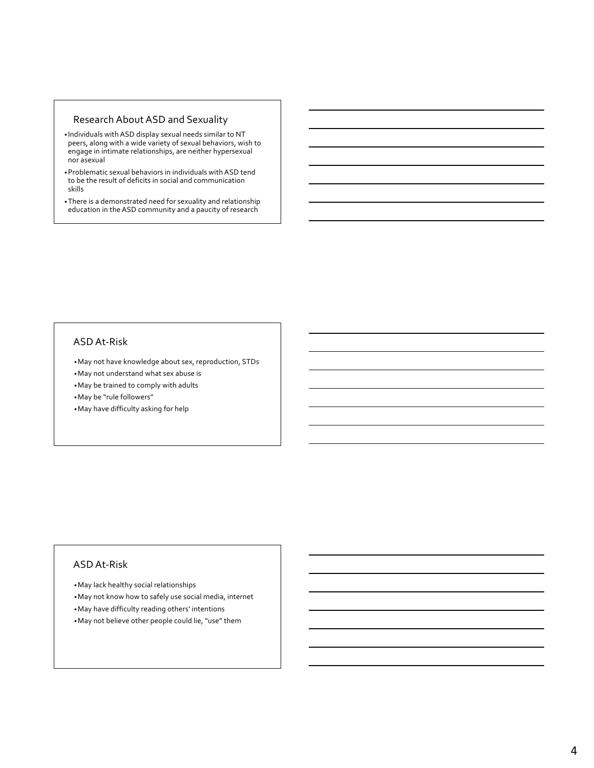#### Research About ASD and Sexuality

- Individuals with ASD display sexual needs similar to NT peers, along with a wide variety of sexual behaviors, wish to engage in intimate relationships, are neither hypersexual nor asexual
- •Problematic sexual behaviors in individuals with ASD tend to be the result of deficits in social and communication skills
- •There is a demonstrated need for sexuality and relationship education in the ASD community and a paucity of research

#### ASD At-Risk

•May not have knowledge about sex, reproduction, STDs

•May not understand what sex abuse is

•May be trained to comply with adults

•May be "rule followers"

•May have difficulty asking for help

#### ASD At-Risk

•May lack healthy social relationships

•May not know how to safely use social media, internet

- •May have difficulty reading others' intentions
- •May not believe other people could lie, "use" them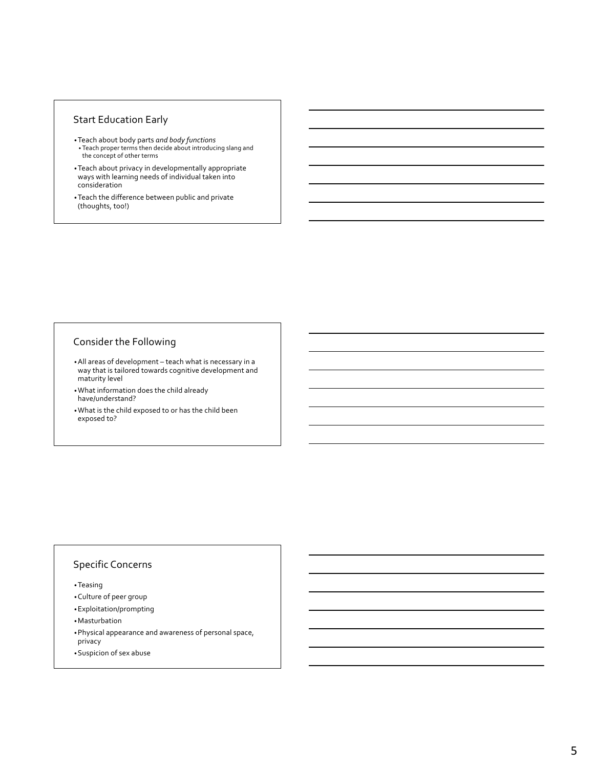#### Start Education Early

- •Teach about body parts *and body functions* • Teach proper terms then decide about introducing slang and the concept of other terms
- •Teach about privacy in developmentally appropriate ways with learning needs of individual taken into consideration
- •Teach the difference between public and private (thoughts, too!)

#### Consider the Following

- •All areas of development teach what is necessary in a way that is tailored towards cognitive development and maturity level
- •What information does the child already have/understand?
- •What is the child exposed to or has the child been exposed to?

#### Specific Concerns

•Teasing

- •Culture of peer group
- •Exploitation/prompting
- •Masturbation
- •Physical appearance and awareness of personal space, privacy
- •Suspicion of sex abuse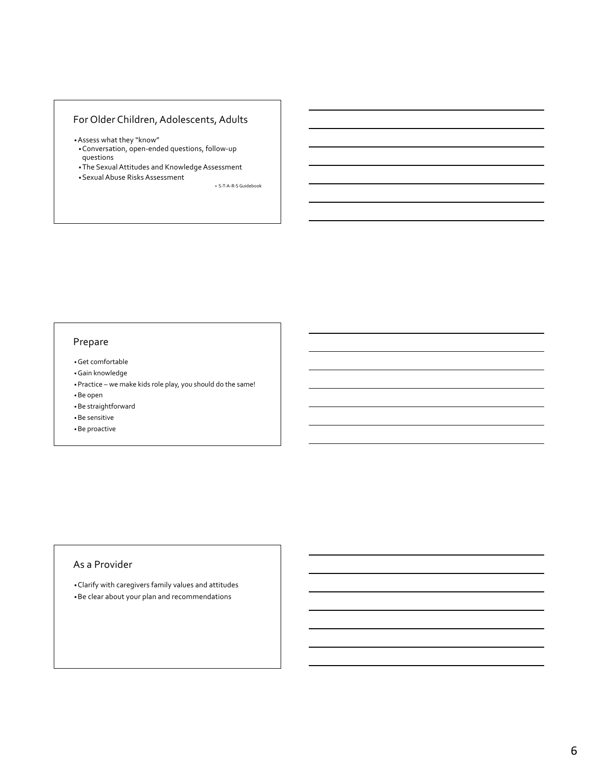# For Older Children, Adolescents, Adults

- •Assess what they "know"
- •Conversation, open-ended questions, follow-up questions
- •The Sexual Attitudes and Knowledge Assessment
- •Sexual Abuse Risks Assessment

• S-T-A-R-S Guidebook

# Prepare

- •Get comfortable
- •Gain knowledge
- •Practice we make kids role play, you should do the same!
- •Be open
- •Be straightforward
- •Be sensitive
- •Be proactive

#### As a Provider

•Clarify with caregivers family values and attitudes •Be clear about your plan and recommendations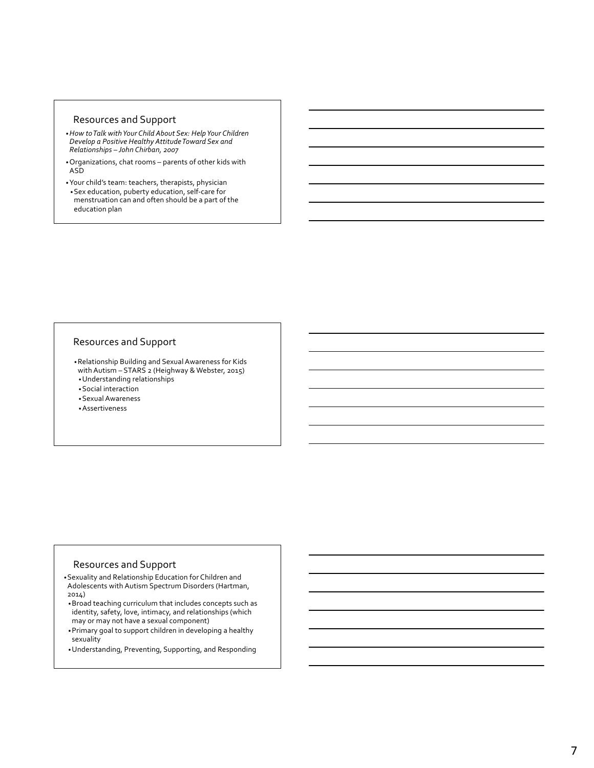#### Resources and Support

- •*How to Talk with Your Child About Sex: Help Your Children Develop a Positive Healthy Attitude Toward Sex and Relationships – John Chirban, 2007*
- •Organizations, chat rooms parents of other kids with ASD
- •Your child's team: teachers, therapists, physician •Sex education, puberty education, self-care for menstruation can and often should be a part of the education plan

#### Resources and Support

•Relationship Building and Sexual Awareness for Kids with Autism – STARS 2 (Heighway & Webster, 2015) •Understanding relationships

•Social interaction

•Sexual Awareness

•Assertiveness

#### Resources and Support

- •Sexuality and Relationship Education for Children and Adolescents with Autism Spectrum Disorders (Hartman, 2014)
- •Broad teaching curriculum that includes concepts such as identity, safety, love, intimacy, and relationships (which may or may not have a sexual component)
- •Primary goal to support children in developing a healthy sexuality
- •Understanding, Preventing, Supporting, and Responding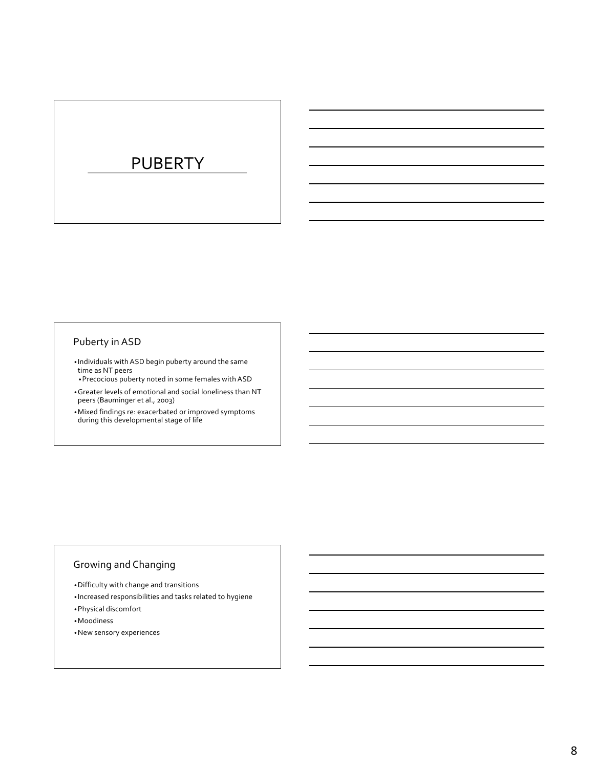# PUBERTY

# Puberty in ASD

- Individuals with ASD begin puberty around the same time as NT peers
- •Precocious puberty noted in some females with ASD
- •Greater levels of emotional and social loneliness than NT peers (Bauminger et al., 2003)
- •Mixed findings re: exacerbated or improved symptoms during this developmental stage of life

### Growing and Changing

- •Difficulty with change and transitions
- Increased responsibilities and tasks related to hygiene
- •Physical discomfort
- •Moodiness
- •New sensory experiences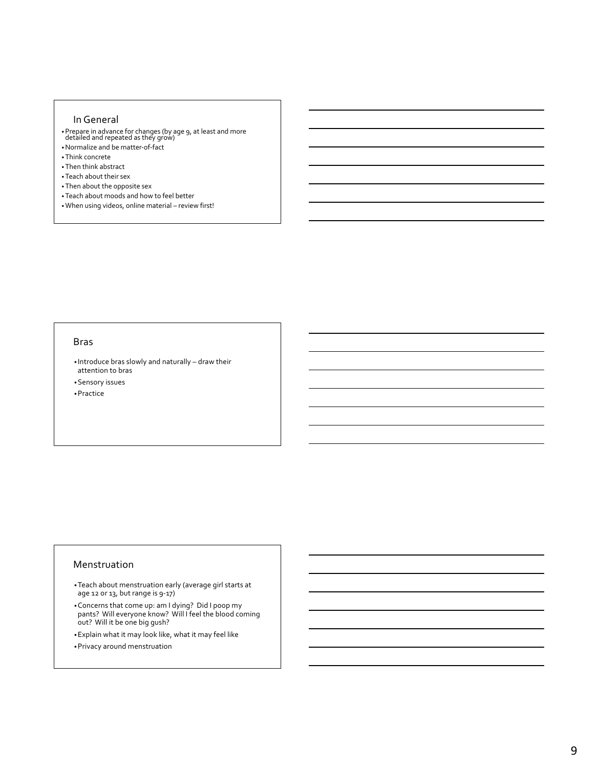#### In General

- •Prepare in advance for changes (by age 9, at least and more detailed and repeated as they grow)
- •Normalize and be matter-of-fact
- •Think concrete
- •Then think abstract
- •Teach about their sex
- •Then about the opposite sex
- •Teach about moods and how to feel better
- •When using videos, online material review first!

#### Bras

• Introduce bras slowly and naturally – draw their attention to bras

•Sensory issues

•Practice

#### Menstruation

- •Teach about menstruation early (average girl starts at age 12 or 13, but range is 9-17)
- •Concerns that come up: am I dying? Did I poop my pants? Will everyone know? Will I feel the blood coming out? Will it be one big gush?
- •Explain what it may look like, what it may feel like
- •Privacy around menstruation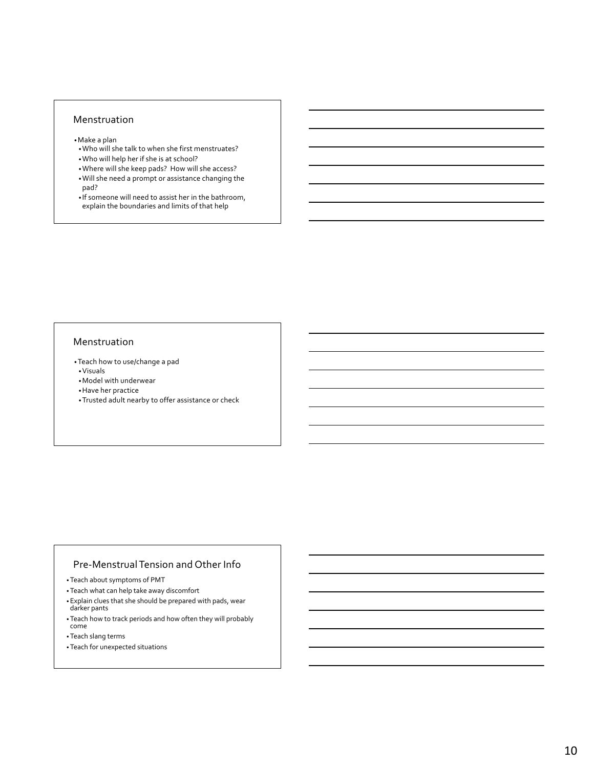#### Menstruation

- •Make a plan
- •Who will she talk to when she first menstruates? •Who will help her if she is at school?
- •Where will she keep pads? How will she access?
- •Will she need a prompt or assistance changing the pad?
- If someone will need to assist her in the bathroom, explain the boundaries and limits of that help

#### Menstruation

- •Teach how to use/change a pad •Visuals
- •Model with underwear
- •Have her practice
- •Trusted adult nearby to offer assistance or check

#### Pre-Menstrual Tension and Other Info

- •Teach about symptoms of PMT
- •Teach what can help take away discomfort
- •Explain clues that she should be prepared with pads, wear darker pants
- •Teach how to track periods and how often they will probably come
- •Teach slang terms
- •Teach for unexpected situations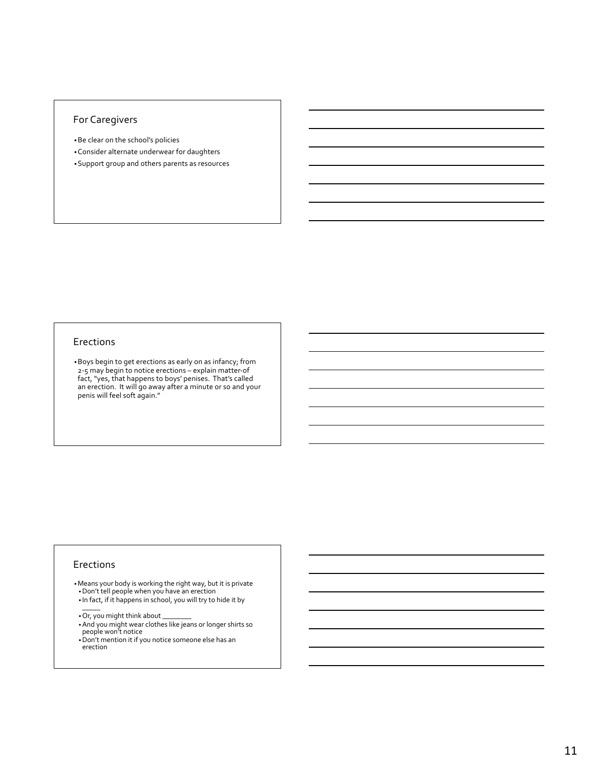#### For Caregivers

- •Be clear on the school's policies
- •Consider alternate underwear for daughters
- •Support group and others parents as resources

#### Erections

•Boys begin to get erections as early on as infancy; from 2-5 may begin to notice erections – explain matter-of fact, "yes, that happens to boys' penises. That's called an erection. It will go away after a minute or so and your penis will feel soft again."

#### Erections

- •Means your body is working the right way, but it is private •Don't tell people when you have an erection
- $\bullet$  In fact, if it happens in school, you will try to hide it by<br>———
- •Or, you might think about \_\_\_\_\_\_\_\_
- •And you might wear clothes like jeans or longer shirts so people won't notice
- •Don't mention it if you notice someone else has an erection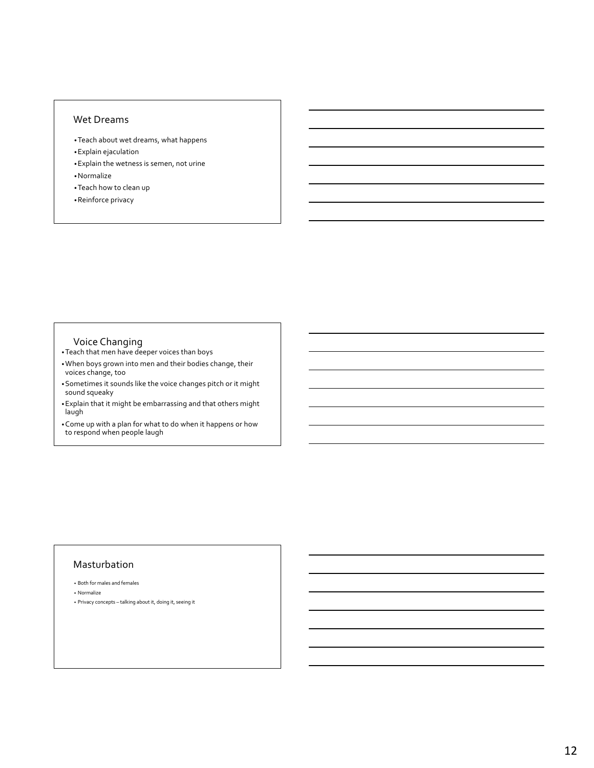#### Wet Dreams

- •Teach about wet dreams, what happens
- •Explain ejaculation
- •Explain the wetness is semen, not urine •Normalize
- •Teach how to clean up
- •Reinforce privacy

- Voice Changing<br>•Teach that men have deeper voices than boys
- •When boys grown into men and their bodies change, their voices change, too
- •Sometimes it sounds like the voice changes pitch or it might sound squeaky
- •Explain that it might be embarrassing and that others might laugh

•Come up with a plan for what to do when it happens or how to respond when people laugh

#### Masturbation

- Both for males and females
- Normalize
- Privacy concepts talking about it, doing it, seeing it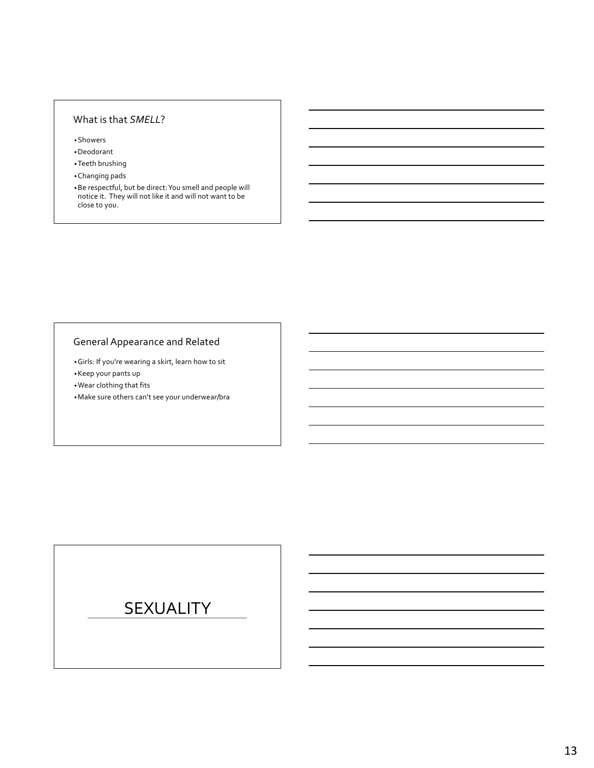### What is that *SMELL*?

•Showers

•Deodorant

•Teeth brushing

•Changing pads

•Be respectful, but be direct: You smell and people will notice it. They will not like it and will not want to be close to you.

# General Appearance and Related

•Girls: If you're wearing a skirt, learn how to sit

•Keep your pants up

•Wear clothing that fits

•Make sure others can't see your underwear/bra

# SEXUALITY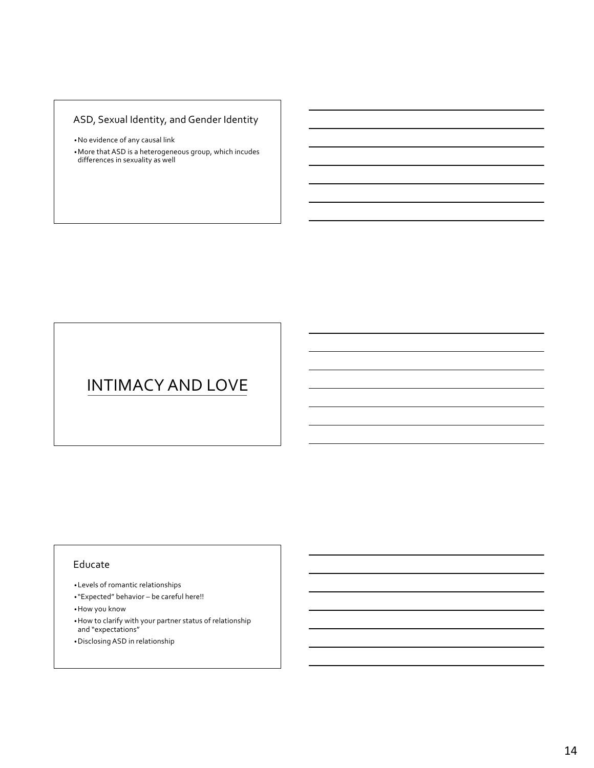# ASD, Sexual Identity, and Gender Identity

- •No evidence of any causal link
- •More that ASD is a heterogeneous group, which incudes differences in sexuality as well

# INTIMACY AND LOVE

#### Educate

- •Levels of romantic relationships
- "Expected" behavior be careful here!!
- •How you know
- •How to clarify with your partner status of relationship and "expectations"
- •Disclosing ASD in relationship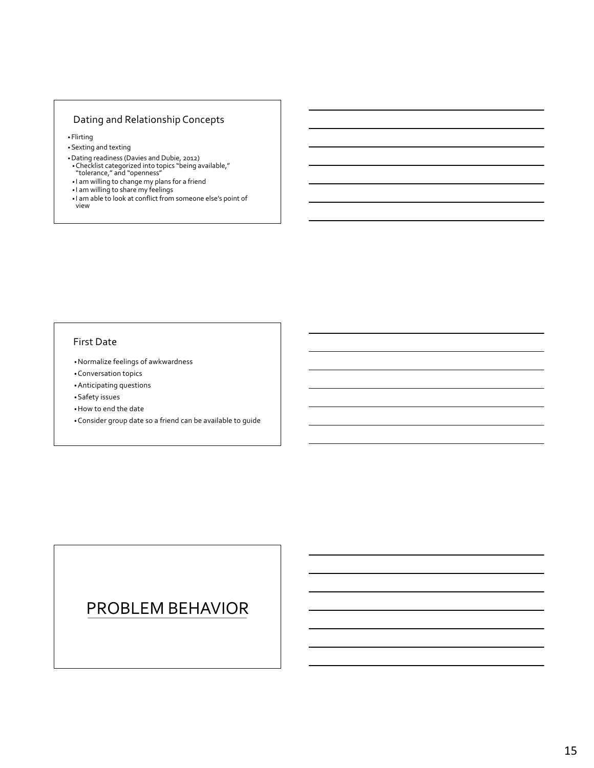# Dating and Relationship Concepts

• Flirting

- •Sexting and texting
- •Dating readiness (Davies and Dubie, 2012) •Checklist categorized into topics "being available," "tolerance," and "openness"
- 
- I am willing to change my plans for a friend
- I am willing to share my feelings
- I am able to look at conflict from someone else's point of view

#### First Date

•Normalize feelings of awkwardness

•Conversation topics

•Anticipating questions

•Safety issues

•How to end the date

•Consider group date so a friend can be available to guide

# PROBLEM BEHAVIOR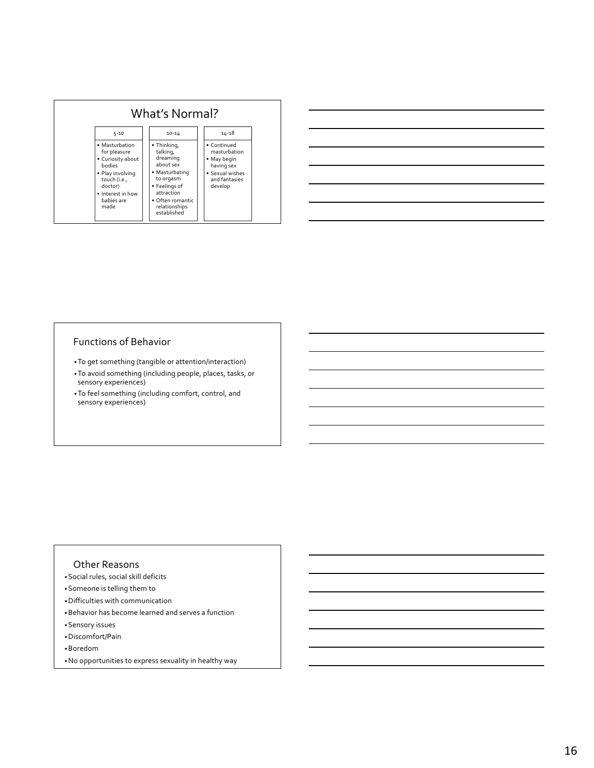| What's Normal?                                                                                                                                                 |                                                                                                                                                                    |                                                                                                         |  |  |  |  |  |
|----------------------------------------------------------------------------------------------------------------------------------------------------------------|--------------------------------------------------------------------------------------------------------------------------------------------------------------------|---------------------------------------------------------------------------------------------------------|--|--|--|--|--|
| $5 - 10$                                                                                                                                                       | $10 - 14$                                                                                                                                                          | $14 - 18$                                                                                               |  |  |  |  |  |
| • Masturbation<br>for pleasure<br>• Curiosity about<br><b>bodies</b><br>· Play involving<br>touch (i.e.,<br>doctor)<br>• Interest in how<br>babies are<br>made | • Thinking,<br>talking,<br>dreaming<br>about sex<br>• Masturbating<br>to orgasm<br>• Feelings of<br>attraction<br>• Often romantic<br>relationships<br>established | • Continued<br>masturbation<br>• May begin<br>having sex<br>• Sexual wishes<br>and fantasies<br>develop |  |  |  |  |  |

### Functions of Behavior

- •To get something (tangible or attention/interaction)
- •To avoid something (including people, places, tasks, or sensory experiences)
- •To feel something (including comfort, control, and sensory experiences)

#### Other Reasons

- •Social rules, social skill deficits
- •Someone is telling them to
- •Difficulties with communication
- •Behavior has become learned and serves a function
- •Sensory issues
- •Discomfort/Pain
- •Boredom
- •No opportunities to express sexuality in healthy way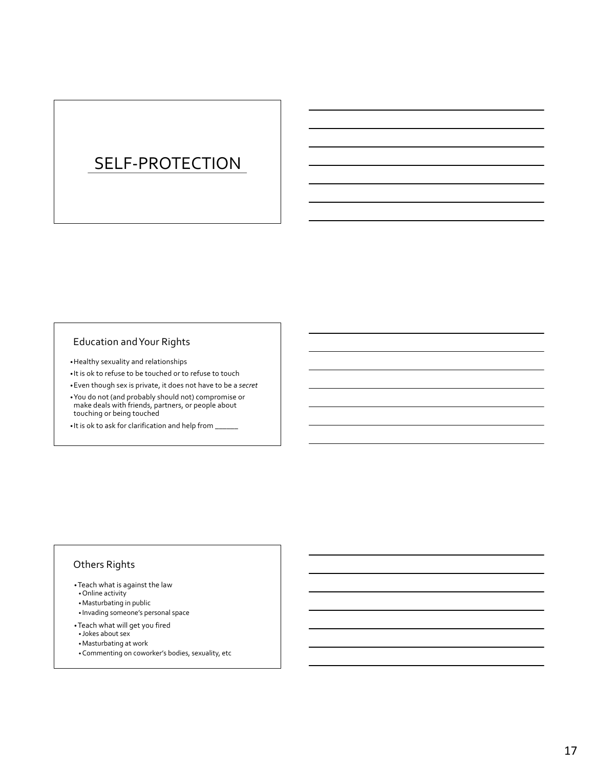# SELF-PROTECTION

### Education and Your Rights

- •Healthy sexuality and relationships
- It is ok to refuse to be touched or to refuse to touch
- •Even though sex is private, it does not have to be a *secret*
- •You do not (and probably should not) compromise or make deals with friends, partners, or people about touching or being touched
- It is ok to ask for clarification and help from  $\_\_$

# Others Rights

- •Teach what is against the law
- •Online activity
- •Masturbating in public
- Invading someone's personal space
- •Teach what will get you fired
- Jokes about sex
- •Masturbating at work
- •Commenting on coworker's bodies, sexuality, etc